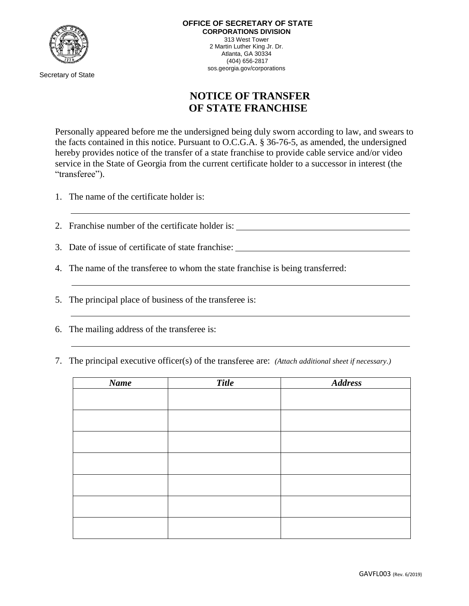

Secretary of State

## **NOTICE OF TRANSFER OF STATE FRANCHISE**

Personally appeared before me the undersigned being duly sworn according to law, and swears to the facts contained in this notice. Pursuant to O.C.G.A. § 36-76-5, as amended, the undersigned hereby provides notice of the transfer of a state franchise to provide cable service and/or video service in the State of Georgia from the current certificate holder to a successor in interest (the "transferee").

- 1. The name of the certificate holder is:
- 2. Franchise number of the certificate holder is:
- 3. Date of issue of certificate of state franchise:
- 4. The name of the transferee to whom the state franchise is being transferred:
- 5. The principal place of business of the transferee is:
- 6. The mailing address of the transferee is:
- 7. The principal executive officer(s) of the transferee are: *(Attach additional sheet if necessary.)*

| Name | <b>Title</b> | <b>Address</b> |
|------|--------------|----------------|
|      |              |                |
|      |              |                |
|      |              |                |
|      |              |                |
|      |              |                |
|      |              |                |
|      |              |                |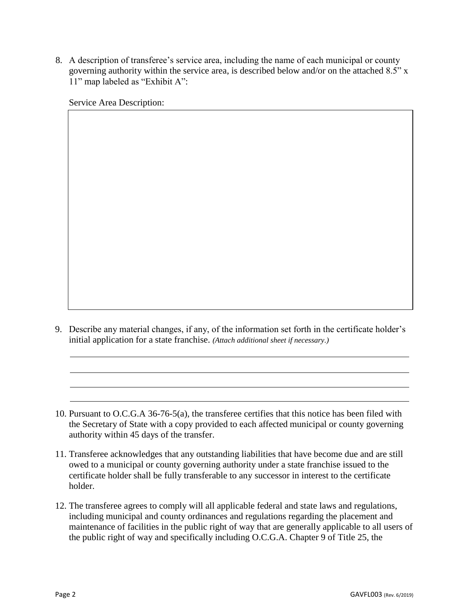8. A description of transferee's service area, including the name of each municipal or county governing authority within the service area, is described below and/or on the attached 8.5" x 11" map labeled as "Exhibit A":

Service Area Description:

9. Describe any material changes, if any, of the information set forth in the certificate holder's initial application for a state franchise. *(Attach additional sheet if necessary.)*

- 11. Transferee acknowledges that any outstanding liabilities that have become due and are still owed to a municipal or county governing authority under a state franchise issued to the certificate holder shall be fully transferable to any successor in interest to the certificate holder.
- 12. The transferee agrees to comply will all applicable federal and state laws and regulations, including municipal and county ordinances and regulations regarding the placement and maintenance of facilities in the public right of way that are generally applicable to all users of the public right of way and specifically including O.C.G.A. Chapter 9 of Title 25, the

<sup>10.</sup> Pursuant to O.C.G.A 36-76-5(a), the transferee certifies that this notice has been filed with the Secretary of State with a copy provided to each affected municipal or county governing authority within 45 days of the transfer.